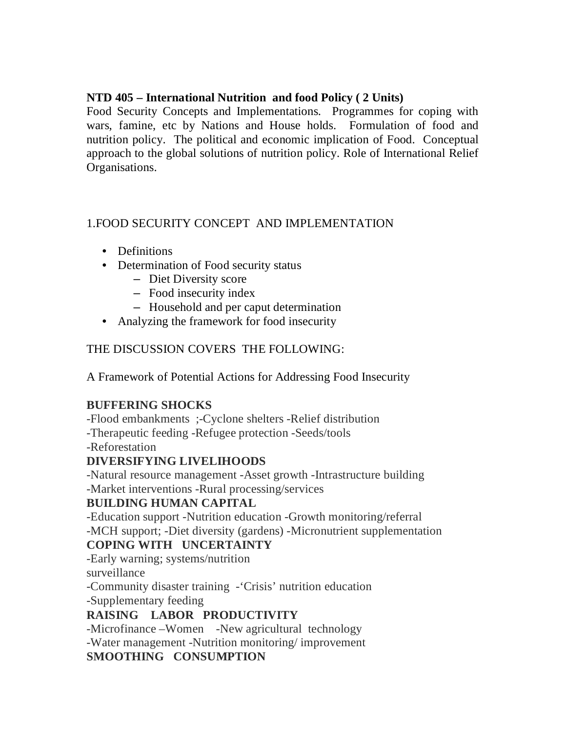## **NTD 405 – International Nutrition and food Policy ( 2 Units)**

Food Security Concepts and Implementations. Programmes for coping with wars, famine, etc by Nations and House holds. Formulation of food and nutrition policy. The political and economic implication of Food. Conceptual approach to the global solutions of nutrition policy. Role of International Relief Organisations.

# 1.FOOD SECURITY CONCEPT AND IMPLEMENTATION

- Definitions
- Determination of Food security status
	- Diet Diversity score
	- Food insecurity index
	- Household and per caput determination
- Analyzing the framework for food insecurity

## THE DISCUSSION COVERS THE FOLLOWING:

A Framework of Potential Actions for Addressing Food Insecurity

# **BUFFERING SHOCKS**

-Flood embankments ;-Cyclone shelters -Relief distribution

-Therapeutic feeding -Refugee protection -Seeds/tools

-Reforestation

# **DIVERSIFYING LIVELIHOODS**

-Natural resource management -Asset growth -Intrastructure building -Market interventions -Rural processing/services

# **BUILDING HUMAN CAPITAL**

-Education support -Nutrition education -Growth monitoring/referral -MCH support; -Diet diversity (gardens) -Micronutrient supplementation

## **COPING WITH UNCERTAINTY**

-Early warning; systems/nutrition

surveillance

-Community disaster training -'Crisis' nutrition education

-Supplementary feeding

# **RAISING LABOR PRODUCTIVITY**

-Microfinance –Women -New agricultural technology -Water management -Nutrition monitoring/ improvement **SMOOTHING CONSUMPTION**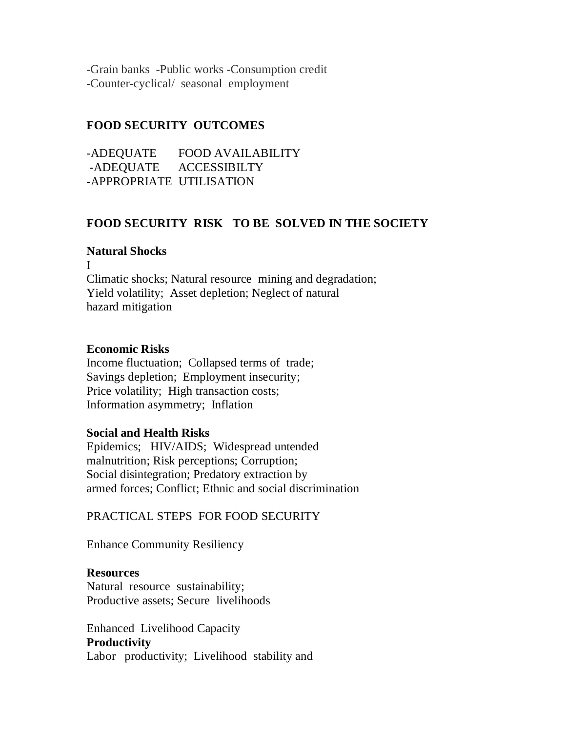-Grain banks -Public works -Consumption credit -Counter-cyclical/ seasonal employment

### **FOOD SECURITY OUTCOMES**

-ADEQUATE FOOD AVAILABILITY -ADEQUATE ACCESSIBILTY -APPROPRIATE UTILISATION

#### **FOOD SECURITY RISK TO BE SOLVED IN THE SOCIETY**

#### **Natural Shocks**

I Climatic shocks; Natural resource mining and degradation; Yield volatility; Asset depletion; Neglect of natural hazard mitigation

#### **Economic Risks**

Income fluctuation; Collapsed terms of trade; Savings depletion; Employment insecurity; Price volatility; High transaction costs; Information asymmetry; Inflation

#### **Social and Health Risks**

Epidemics; HIV/AIDS; Widespread untended malnutrition; Risk perceptions; Corruption; Social disintegration; Predatory extraction by armed forces; Conflict; Ethnic and social discrimination

PRACTICAL STEPS FOR FOOD SECURITY

Enhance Community Resiliency

#### **Resources**

Natural resource sustainability; Productive assets; Secure livelihoods

Enhanced Livelihood Capacity **Productivity** Labor productivity; Livelihood stability and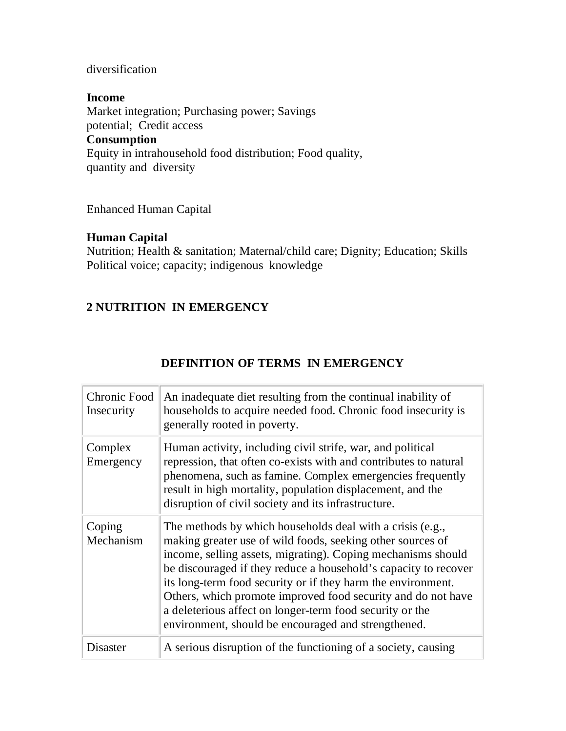#### diversification

#### **Income**

Market integration; Purchasing power; Savings potential; Credit access **Consumption** Equity in intrahousehold food distribution; Food quality, quantity and diversity

Enhanced Human Capital

#### **Human Capital**

Nutrition; Health & sanitation; Maternal/child care; Dignity; Education; Skills Political voice; capacity; indigenous knowledge

## **2 NUTRITION IN EMERGENCY**

| Chronic Food<br>Insecurity | An inadequate diet resulting from the continual inability of<br>households to acquire needed food. Chronic food insecurity is<br>generally rooted in poverty.                                                                                                                                                                                                                                                                                                                                                 |
|----------------------------|---------------------------------------------------------------------------------------------------------------------------------------------------------------------------------------------------------------------------------------------------------------------------------------------------------------------------------------------------------------------------------------------------------------------------------------------------------------------------------------------------------------|
| Complex<br>Emergency       | Human activity, including civil strife, war, and political<br>repression, that often co-exists with and contributes to natural<br>phenomena, such as famine. Complex emergencies frequently<br>result in high mortality, population displacement, and the<br>disruption of civil society and its infrastructure.                                                                                                                                                                                              |
| Coping<br>Mechanism        | The methods by which households deal with a crisis (e.g.,<br>making greater use of wild foods, seeking other sources of<br>income, selling assets, migrating). Coping mechanisms should<br>be discouraged if they reduce a household's capacity to recover<br>its long-term food security or if they harm the environment.<br>Others, which promote improved food security and do not have<br>a deleterious affect on longer-term food security or the<br>environment, should be encouraged and strengthened. |
| Disaster                   | A serious disruption of the functioning of a society, causing                                                                                                                                                                                                                                                                                                                                                                                                                                                 |

## **DEFINITION OF TERMS IN EMERGENCY**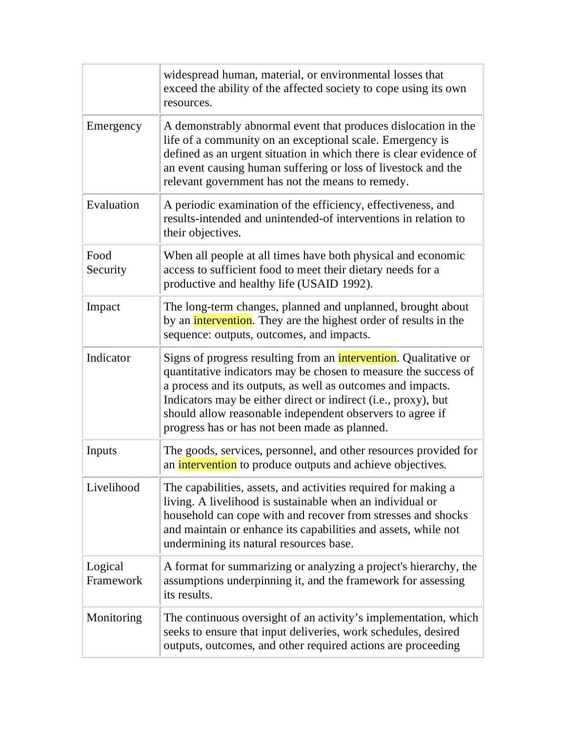|                      | widespread human, material, or environmental losses that<br>exceed the ability of the affected society to cope using its own<br>resources.                                                                                                                                                                                                                                                 |
|----------------------|--------------------------------------------------------------------------------------------------------------------------------------------------------------------------------------------------------------------------------------------------------------------------------------------------------------------------------------------------------------------------------------------|
| Emergency            | A demonstrably abnormal event that produces dislocation in the<br>life of a community on an exceptional scale. Emergency is<br>defined as an urgent situation in which there is clear evidence of<br>an event causing human suffering or loss of livestock and the<br>relevant government has not the means to remedy.                                                                     |
| Evaluation           | A periodic examination of the efficiency, effectiveness, and<br>results-intended and unintended-of interventions in relation to<br>their objectives.                                                                                                                                                                                                                                       |
| Food<br>Security     | When all people at all times have both physical and economic<br>access to sufficient food to meet their dietary needs for a<br>productive and healthy life (USAID 1992).                                                                                                                                                                                                                   |
| Impact               | The long-term changes, planned and unplanned, brought about<br>by an <i>intervention</i> . They are the highest order of results in the<br>sequence: outputs, outcomes, and impacts.                                                                                                                                                                                                       |
| Indicator            | Signs of progress resulting from an <i>intervention</i> . Qualitative or<br>quantitative indicators may be chosen to measure the success of<br>a process and its outputs, as well as outcomes and impacts.<br>Indicators may be either direct or indirect (i.e., proxy), but<br>should allow reasonable independent observers to agree if<br>progress has or has not been made as planned. |
| Inputs               | The goods, services, personnel, and other resources provided for<br>an <i>intervention</i> to produce outputs and achieve objectives.                                                                                                                                                                                                                                                      |
| Livelihood           | The capabilities, assets, and activities required for making a<br>living. A livelihood is sustainable when an individual or<br>household can cope with and recover from stresses and shocks<br>and maintain or enhance its capabilities and assets, while not<br>undermining its natural resources base.                                                                                   |
| Logical<br>Framework | A format for summarizing or analyzing a project's hierarchy, the<br>assumptions underpinning it, and the framework for assessing<br>its results.                                                                                                                                                                                                                                           |
| Monitoring           | The continuous oversight of an activity's implementation, which<br>seeks to ensure that input deliveries, work schedules, desired<br>outputs, outcomes, and other required actions are proceeding                                                                                                                                                                                          |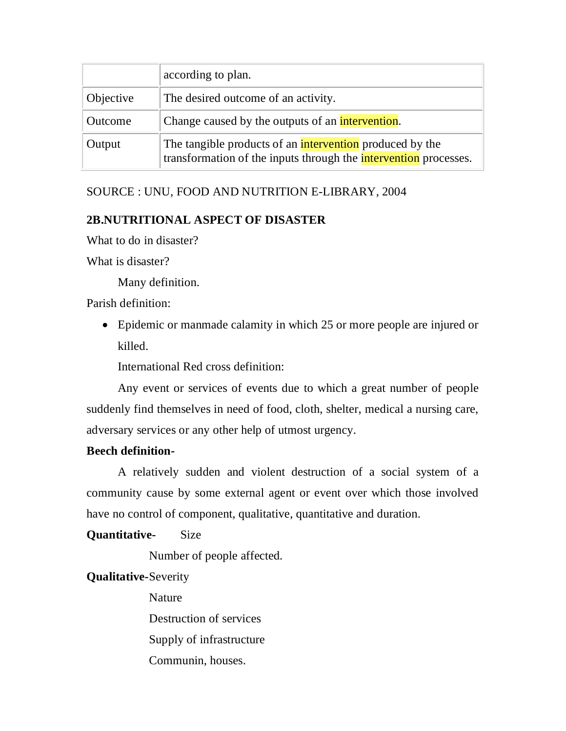|           | according to plan.                                                                                                                  |  |  |
|-----------|-------------------------------------------------------------------------------------------------------------------------------------|--|--|
| Objective | The desired outcome of an activity.                                                                                                 |  |  |
| Outcome   | Change caused by the outputs of an <i>intervention</i> .                                                                            |  |  |
| Output    | The tangible products of an <b>intervention</b> produced by the<br>transformation of the inputs through the intervention processes. |  |  |

## SOURCE : UNU, FOOD AND NUTRITION E-LIBRARY, 2004

## **2B.NUTRITIONAL ASPECT OF DISASTER**

What to do in disaster?

What is disaster?

Many definition.

Parish definition:

 Epidemic or manmade calamity in which 25 or more people are injured or killed.

International Red cross definition:

Any event or services of events due to which a great number of people suddenly find themselves in need of food, cloth, shelter, medical a nursing care, adversary services or any other help of utmost urgency.

### **Beech definition-**

A relatively sudden and violent destruction of a social system of a community cause by some external agent or event over which those involved have no control of component, qualitative, quantitative and duration.

### **Quantitative-** Size

Number of people affected.

**Qualitative-**Severity

Nature Destruction of services Supply of infrastructure Communin, houses.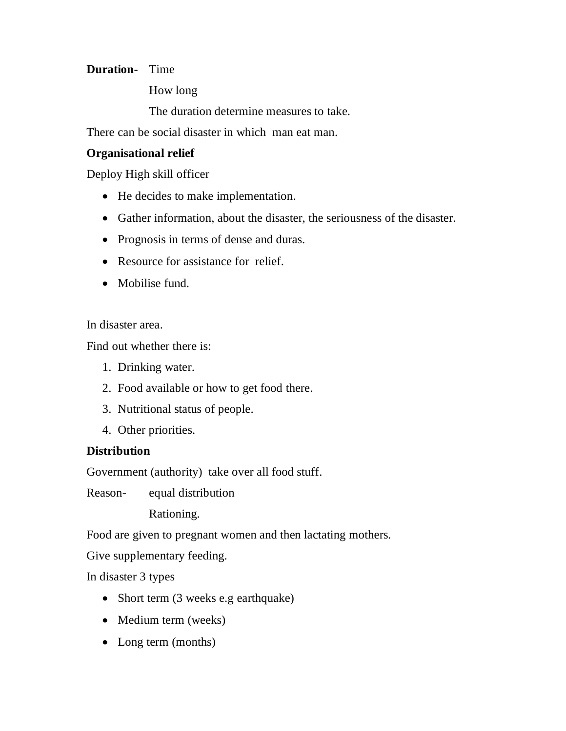## **Duration-** Time

How long

The duration determine measures to take.

There can be social disaster in which man eat man.

## **Organisational relief**

Deploy High skill officer

- He decides to make implementation.
- Gather information, about the disaster, the seriousness of the disaster.
- Prognosis in terms of dense and duras.
- Resource for assistance for relief.
- Mobilise fund.

In disaster area.

Find out whether there is:

- 1. Drinking water.
- 2. Food available or how to get food there.
- 3. Nutritional status of people.
- 4. Other priorities.

## **Distribution**

Government (authority) take over all food stuff.

Reason- equal distribution

Rationing.

Food are given to pregnant women and then lactating mothers.

Give supplementary feeding.

In disaster 3 types

- Short term (3 weeks e.g earthquake)
- Medium term (weeks)
- Long term (months)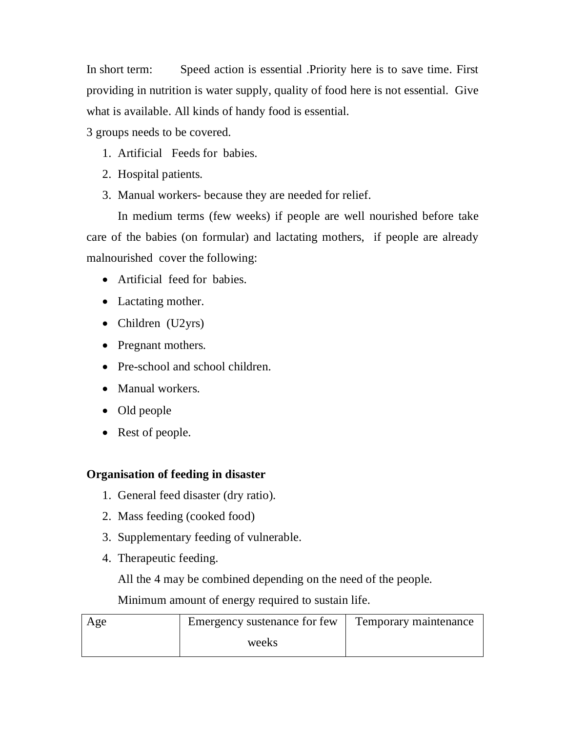In short term: Speed action is essential .Priority here is to save time. First providing in nutrition is water supply, quality of food here is not essential. Give what is available. All kinds of handy food is essential.

3 groups needs to be covered.

- 1. Artificial Feeds for babies.
- 2. Hospital patients.
- 3. Manual workers- because they are needed for relief.

In medium terms (few weeks) if people are well nourished before take care of the babies (on formular) and lactating mothers, if people are already malnourished cover the following:

- Artificial feed for babies.
- Lactating mother.
- Children (U2yrs)
- Pregnant mothers.
- Pre-school and school children.
- Manual workers.
- Old people
- Rest of people.

### **Organisation of feeding in disaster**

- 1. General feed disaster (dry ratio).
- 2. Mass feeding (cooked food)
- 3. Supplementary feeding of vulnerable.
- 4. Therapeutic feeding.

All the 4 may be combined depending on the need of the people.

Minimum amount of energy required to sustain life.

| Age | Emergency sustenance for few | Temporary maintenance |
|-----|------------------------------|-----------------------|
|     | weeks                        |                       |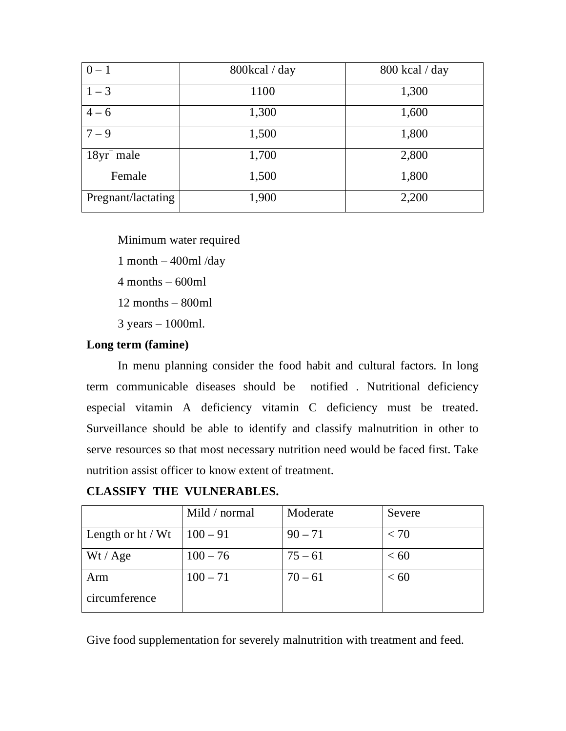| $0 - 1$            | 800kcal / day | 800 kcal / day |
|--------------------|---------------|----------------|
| $1 - 3$            | 1100          | 1,300          |
| $4 - 6$            | 1,300         | 1,600          |
| $7 - 9$            | 1,500         | 1,800          |
| $18yr+$ male       | 1,700         | 2,800          |
| Female             | 1,500         | 1,800          |
| Pregnant/lactating | 1,900         | 2,200          |

Minimum water required 1 month  $-$  400ml/day  $4$  months – 600ml

12 months – 800ml

3 years – 1000ml.

### **Long term (famine)**

In menu planning consider the food habit and cultural factors. In long term communicable diseases should be notified . Nutritional deficiency especial vitamin A deficiency vitamin C deficiency must be treated. Surveillance should be able to identify and classify malnutrition in other to serve resources so that most necessary nutrition need would be faced first. Take nutrition assist officer to know extent of treatment.

**CLASSIFY THE VULNERABLES.** 

|                     | Mild / normal | Moderate  | Severe |
|---------------------|---------------|-----------|--------|
| Length or $ht / Wt$ | $100 - 91$    | $90 - 71$ | < 70   |
| Wt / Age            | $100 - 76$    | $75 - 61$ | < 60   |
| Arm                 | $100 - 71$    | $70 - 61$ | < 60   |
| circumference       |               |           |        |

Give food supplementation for severely malnutrition with treatment and feed.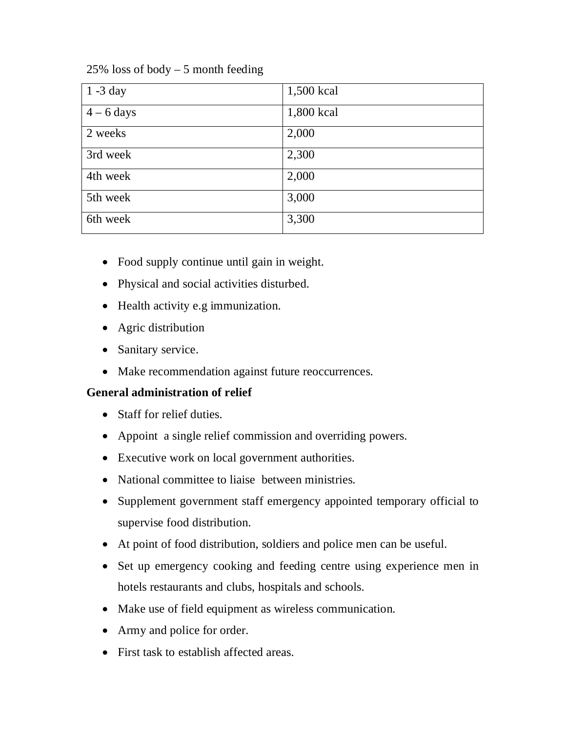|  |  |  |  |  |  | $25\%$ loss of body $-5$ month feeding |
|--|--|--|--|--|--|----------------------------------------|
|--|--|--|--|--|--|----------------------------------------|

| $1 - 3$ day  | 1,500 kcal |
|--------------|------------|
| $4 - 6$ days | 1,800 kcal |
| 2 weeks      | 2,000      |
| 3rd week     | 2,300      |
| 4th week     | 2,000      |
| 5th week     | 3,000      |
| 6th week     | 3,300      |

- Food supply continue until gain in weight.
- Physical and social activities disturbed.
- Health activity e.g immunization.
- Agric distribution
- Sanitary service.
- Make recommendation against future reoccurrences.

## **General administration of relief**

- Staff for relief duties.
- Appoint a single relief commission and overriding powers.
- Executive work on local government authorities.
- National committee to liaise between ministries.
- Supplement government staff emergency appointed temporary official to supervise food distribution.
- At point of food distribution, soldiers and police men can be useful.
- Set up emergency cooking and feeding centre using experience men in hotels restaurants and clubs, hospitals and schools.
- Make use of field equipment as wireless communication.
- Army and police for order.
- First task to establish affected areas.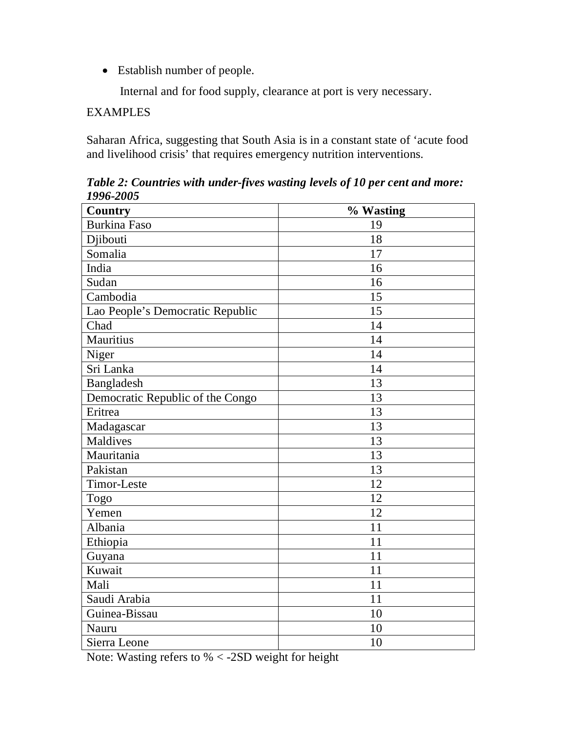Establish number of people.

Internal and for food supply, clearance at port is very necessary.

## **EXAMPLES**

Saharan Africa, suggesting that South Asia is in a constant state of 'acute food and livelihood crisis' that requires emergency nutrition interventions.

*Table 2: Countries with under-fives wasting levels of 10 per cent and more: 1996-2005*

| <b>Country</b>                   | % Wasting |
|----------------------------------|-----------|
| <b>Burkina Faso</b>              | 19        |
| Djibouti                         | 18        |
| Somalia                          | 17        |
| India                            | 16        |
| Sudan                            | 16        |
| Cambodia                         | 15        |
| Lao People's Democratic Republic | 15        |
| Chad                             | 14        |
| Mauritius                        | 14        |
| Niger                            | 14        |
| Sri Lanka                        | 14        |
| Bangladesh                       | 13        |
| Democratic Republic of the Congo | 13        |
| Eritrea                          | 13        |
| Madagascar                       | 13        |
| <b>Maldives</b>                  | 13        |
| Mauritania                       | 13        |
| Pakistan                         | 13        |
| Timor-Leste                      | 12        |
| Togo                             | 12        |
| Yemen                            | 12        |
| Albania                          | 11        |
| Ethiopia                         | 11        |
| Guyana                           | 11        |
| Kuwait                           | 11        |
| Mali                             | 11        |
| Saudi Arabia                     | 11        |
| Guinea-Bissau                    | 10        |
| Nauru                            | 10        |
| Sierra Leone                     | 10        |

Note: Wasting refers to % < -2SD weight for height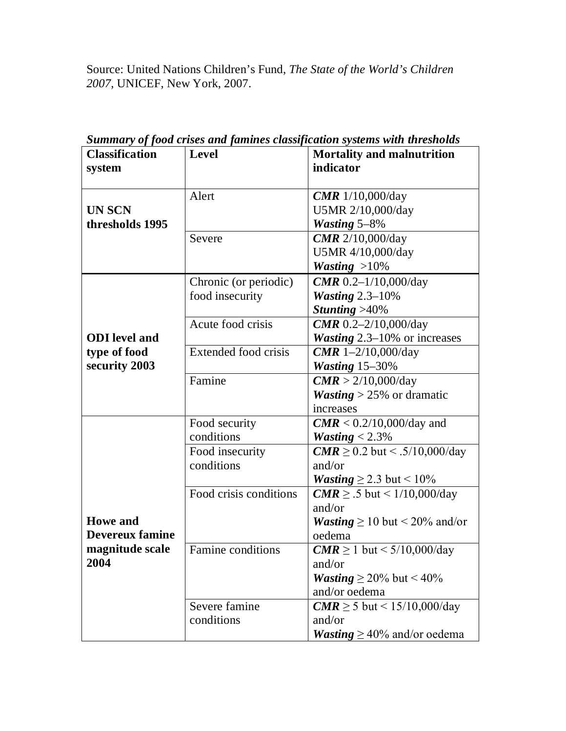Source: United Nations Children's Fund, *The State of the World's Children 2007*, UNICEF, New York, 2007.

| <b>Classification</b>  | <b>Level</b>                | <b>Mortality and malnutrition</b>          |
|------------------------|-----------------------------|--------------------------------------------|
| system                 |                             | indicator                                  |
|                        |                             |                                            |
|                        | Alert                       | <b>CMR</b> $1/10,000$ /day                 |
| <b>UN SCN</b>          |                             | U5MR 2/10,000/day                          |
| thresholds 1995        |                             | <b>Wasting 5-8%</b>                        |
|                        | Severe                      | <b>CMR</b> 2/10,000/day                    |
|                        |                             | U5MR 4/10,000/day                          |
|                        |                             | Wasting $>10\%$                            |
|                        | Chronic (or periodic)       | <b>CMR</b> 0.2-1/10,000/day                |
|                        | food insecurity             | Wasting $2.3-10\%$                         |
|                        |                             | Stunting $>40\%$                           |
|                        | Acute food crisis           | <b>CMR</b> 0.2-2/10,000/day                |
| <b>ODI</b> level and   |                             | <b>Wasting</b> 2.3–10% or increases        |
| type of food           | <b>Extended food crisis</b> | <b>CMR</b> 1-2/10,000/day                  |
| security 2003          |                             | Wasting 15-30%                             |
|                        | Famine                      | CMR > 2/10,000/day                         |
|                        |                             | <b><i>Wasting</i></b> > 25% or dramatic    |
|                        |                             | increases                                  |
|                        | Food security               | $CMR < 0.2/10,000$ /day and                |
|                        | conditions                  | <i>Wasting</i> $< 2.3\%$                   |
|                        | Food insecurity             | $CMR \ge 0.2$ but < .5/10,000/day          |
|                        | conditions                  | and/or                                     |
|                        |                             | <i>Wasting</i> $\geq$ 2.3 but < 10%        |
|                        | Food crisis conditions      | $CMR \geq .5$ but < 1/10,000/day           |
|                        |                             | and/or                                     |
| <b>Howe</b> and        |                             | <i>Wasting</i> $\geq$ 10 but < 20% and/or  |
| <b>Devereux famine</b> |                             | oedema                                     |
| magnitude scale        | Famine conditions           | $CMR \ge 1$ but < 5/10,000/day             |
| 2004                   |                             | and/or                                     |
|                        |                             | <b><i>Wasting</i></b> $\geq$ 20% but < 40% |
|                        |                             | and/or oedema                              |
|                        | Severe famine               | $CMR \ge 5$ but < 15/10,000/day            |
|                        | conditions                  | and/or                                     |
|                        |                             | <i>Wasting</i> $\geq$ 40% and/or oedema    |

*Summary of food crises and famines classification systems with thresholds*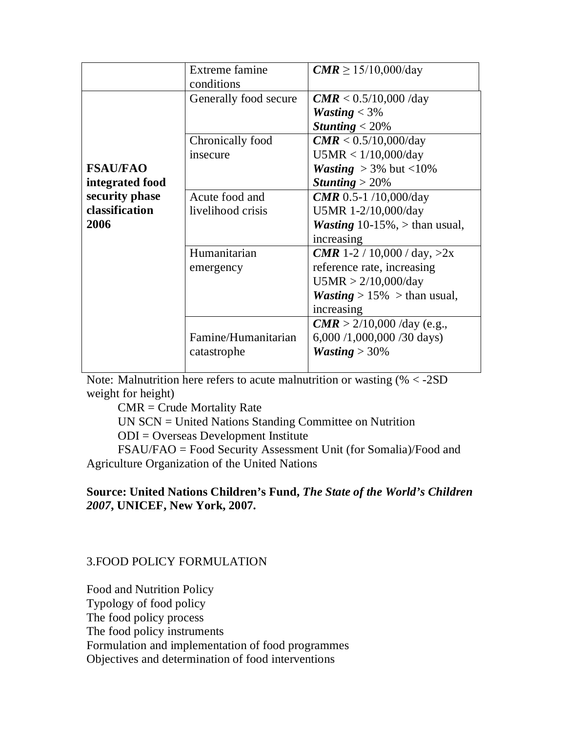|                                          | <b>Extreme famine</b><br>conditions | $CMR \ge 15/10,000/day$                                                                                                                              |
|------------------------------------------|-------------------------------------|------------------------------------------------------------------------------------------------------------------------------------------------------|
|                                          | Generally food secure               | $CMR < 0.5/10,000$ /day<br><i>Wasting</i> $<$ 3%<br>Stunting $<$ 20%                                                                                 |
| <b>FSAU/FAO</b><br>integrated food       | Chronically food<br>insecure        | CMR < 0.5/10,000/day<br>U5MR < 1/10,000/day<br><i>Wasting</i> $>$ 3% but <10%<br>Stunting $>20\%$                                                    |
| security phase<br>classification<br>2006 | Acute food and<br>livelihood crisis | <b>CMR</b> 0.5-1 /10,000/day<br>U5MR 1-2/10,000/day<br><i>Wasting</i> 10-15%, $>$ than usual,<br>increasing                                          |
|                                          | Humanitarian<br>emergency           | <b>CMR</b> 1-2 / 10,000 / day, $>2x$<br>reference rate, increasing<br>U5MR > 2/10,000/day<br><b><i>Wasting</i></b> > 15% > than usual,<br>increasing |
|                                          | Famine/Humanitarian<br>catastrophe  | $CMR > 2/10,000$ /day (e.g.,<br>6,000 /1,000,000 /30 days)<br><i>Wasting</i> $>$ 30%                                                                 |

Note: Malnutrition here refers to acute malnutrition or wasting  $% < -2SD$ weight for height)

 $CMR = Crude$  Mortality Rate

UN SCN = United Nations Standing Committee on Nutrition

ODI = Overseas Development Institute

FSAU/FAO = Food Security Assessment Unit (for Somalia)/Food and Agriculture Organization of the United Nations

### **Source: United Nations Children's Fund,** *The State of the World's Children 2007***, UNICEF, New York, 2007.**

### 3.FOOD POLICY FORMULATION

Food and Nutrition Policy Typology of food policy The food policy process The food policy instruments Formulation and implementation of food programmes Objectives and determination of food interventions